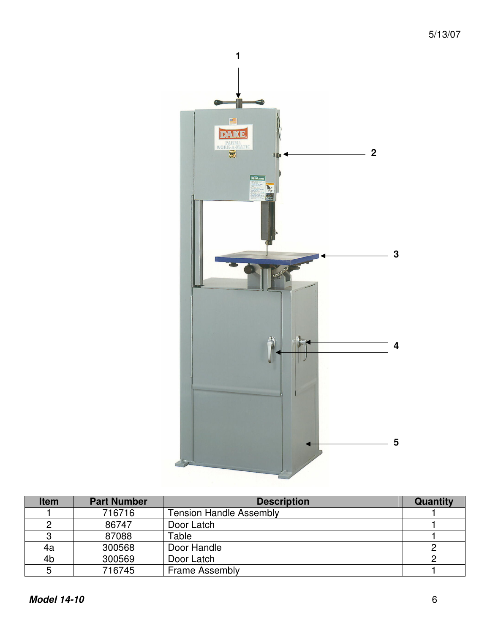

| <b>Item</b> | <b>Part Number</b> | <b>Description</b>             | Quantity |
|-------------|--------------------|--------------------------------|----------|
|             | 716716             | <b>Tension Handle Assembly</b> |          |
|             | 86747              | Door Latch                     |          |
|             | 87088              | Table                          |          |
| 4a          | 300568             | Door Handle                    |          |
| 4b          | 300569             | Door Latch                     |          |
|             | 716745             | <b>Frame Assembly</b>          |          |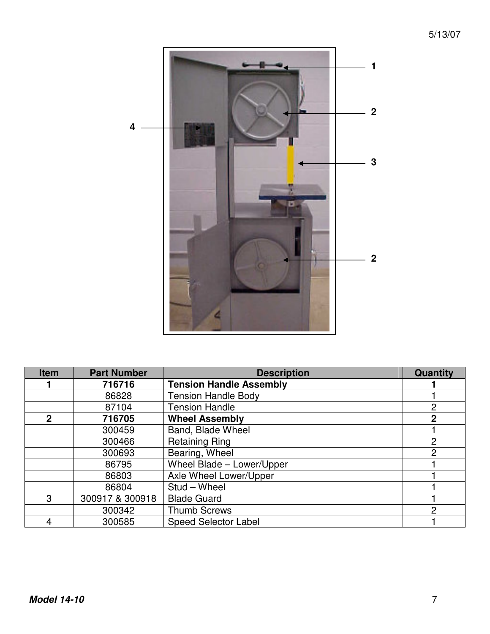

| <b>Item</b>  | <b>Part Number</b> | <b>Description</b>             | Quantity |
|--------------|--------------------|--------------------------------|----------|
|              | 716716             | <b>Tension Handle Assembly</b> |          |
|              | 86828              | <b>Tension Handle Body</b>     |          |
|              | 87104              | <b>Tension Handle</b>          | 2        |
| $\mathbf{2}$ | 716705             | <b>Wheel Assembly</b>          | 2        |
|              | 300459             | Band, Blade Wheel              |          |
|              | 300466             | <b>Retaining Ring</b>          | 2        |
|              | 300693             | Bearing, Wheel                 | 2        |
|              | 86795              | Wheel Blade - Lower/Upper      |          |
|              | 86803              | Axle Wheel Lower/Upper         |          |
|              | 86804              | Stud - Wheel                   |          |
| 3            | 300917 & 300918    | <b>Blade Guard</b>             |          |
|              | 300342             | <b>Thumb Screws</b>            | 2        |
|              | 300585             | <b>Speed Selector Label</b>    |          |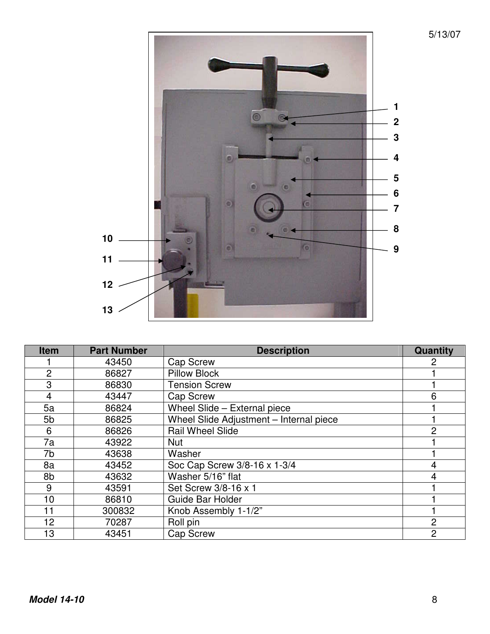

| <b>Item</b>    | <b>Part Number</b> | <b>Description</b>                      | Quantity       |
|----------------|--------------------|-----------------------------------------|----------------|
|                | 43450              | <b>Cap Screw</b>                        |                |
| $\overline{2}$ | 86827              | <b>Pillow Block</b>                     |                |
| 3              | 86830              | <b>Tension Screw</b>                    |                |
| 4              | 43447              | <b>Cap Screw</b>                        | 6              |
| 5a             | 86824              | Wheel Slide - External piece            |                |
| 5b             | 86825              | Wheel Slide Adjustment - Internal piece |                |
| 6              | 86826              | <b>Rail Wheel Slide</b>                 | 2              |
| 7a             | 43922              | <b>Nut</b>                              |                |
| 7b             | 43638              | Washer                                  |                |
| 8a             | 43452              | Soc Cap Screw 3/8-16 x 1-3/4            | 4              |
| 8b             | 43632              | Washer 5/16" flat                       | 4              |
| 9              | 43591              | Set Screw 3/8-16 x 1                    |                |
| 10             | 86810              | Guide Bar Holder                        |                |
| 11             | 300832             | Knob Assembly 1-1/2"                    |                |
| 12             | 70287              | Roll pin                                | $\overline{2}$ |
| 13             | 43451              | <b>Cap Screw</b>                        | 2              |

5/13/07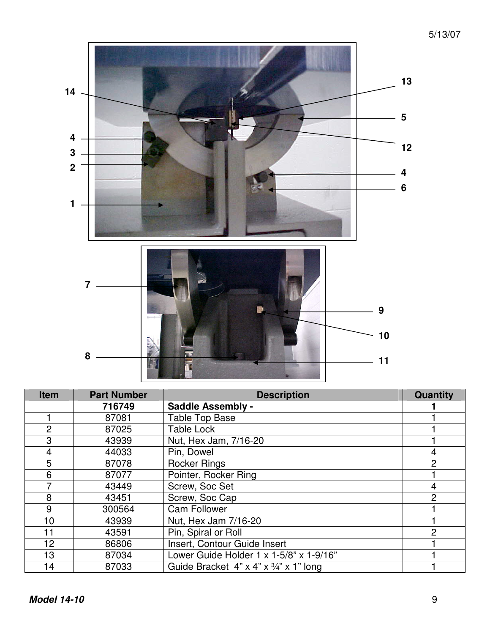

| <b>Item</b>    | <b>Part Number</b> | <b>Description</b>                                     | <b>Quantity</b> |
|----------------|--------------------|--------------------------------------------------------|-----------------|
|                | 716749             | <b>Saddle Assembly -</b>                               |                 |
|                | 87081              | <b>Table Top Base</b>                                  |                 |
| $\overline{2}$ | 87025              | <b>Table Lock</b>                                      |                 |
| 3              | 43939              | Nut, Hex Jam, 7/16-20                                  |                 |
| 4              | 44033              | Pin, Dowel                                             | 4               |
| 5              | 87078              | <b>Rocker Rings</b>                                    | $\overline{2}$  |
| 6              | 87077              | Pointer, Rocker Ring                                   |                 |
|                | 43449              | Screw, Soc Set                                         | 4               |
| 8              | 43451              | Screw, Soc Cap                                         | 2               |
| 9              | 300564             | <b>Cam Follower</b>                                    |                 |
| 10             | 43939              | Nut, Hex Jam 7/16-20                                   |                 |
| 11             | 43591              | Pin, Spiral or Roll                                    | 2               |
| 12             | 86806              | Insert, Contour Guide Insert                           |                 |
| 13             | 87034              | Lower Guide Holder $1 \times 1 - 5/8$ " x $1 - 9/16$ " |                 |
| 14             | 87033              | Guide Bracket $4$ " x $4$ " x $3/4$ " x $1$ " long     |                 |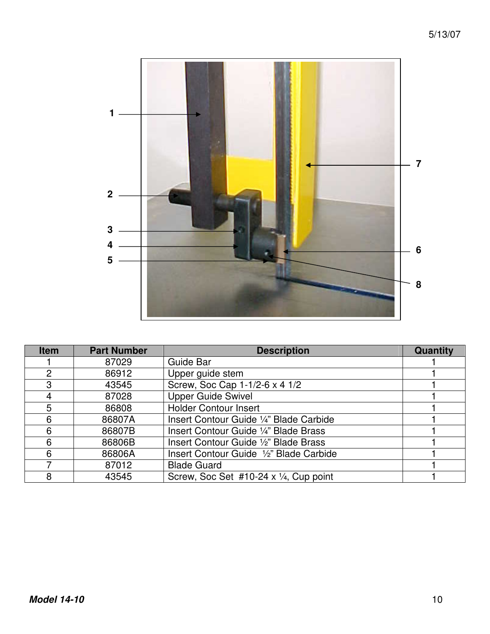

| <b>Item</b> | <b>Part Number</b> | <b>Description</b>                                | <b>Quantity</b> |
|-------------|--------------------|---------------------------------------------------|-----------------|
|             | 87029              | Guide Bar                                         |                 |
| 2           | 86912              | Upper guide stem                                  |                 |
| 3           | 43545              | Screw, Soc Cap 1-1/2-6 x 4 1/2                    |                 |
|             | 87028              | <b>Upper Guide Swivel</b>                         |                 |
| 5           | 86808              | <b>Holder Contour Insert</b>                      |                 |
| 6           | 86807A             | Insert Contour Guide 1/4" Blade Carbide           |                 |
| 6           | 86807B             | Insert Contour Guide 1/4" Blade Brass             |                 |
| 6           | 86806B             | Insert Contour Guide 1/2" Blade Brass             |                 |
| 6           | 86806A             | Insert Contour Guide 1/2" Blade Carbide           |                 |
|             | 87012              | <b>Blade Guard</b>                                |                 |
| 8           | 43545              | Screw, Soc Set #10-24 $x \frac{1}{4}$ , Cup point |                 |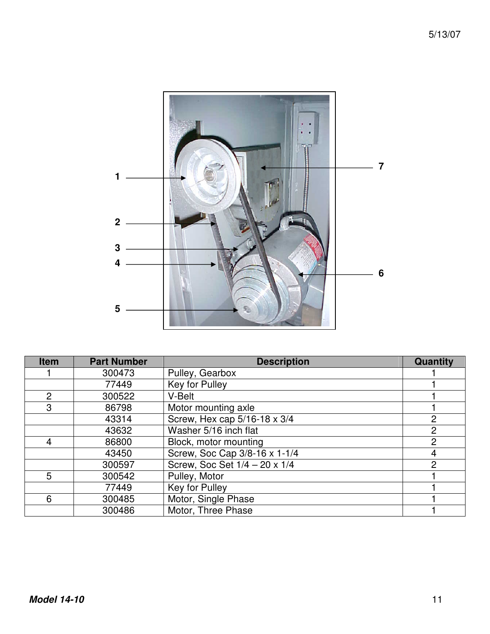

| <b>Item</b>    | <b>Part Number</b> | <b>Description</b>            | <b>Quantity</b> |
|----------------|--------------------|-------------------------------|-----------------|
|                | 300473             | Pulley, Gearbox               |                 |
|                | 77449              | Key for Pulley                |                 |
| $\overline{2}$ | 300522             | V-Belt                        |                 |
| 3              | 86798              | Motor mounting axle           |                 |
|                | 43314              | Screw, Hex cap 5/16-18 x 3/4  | 2               |
|                | 43632              | Washer 5/16 inch flat         | 2               |
| 4              | 86800              | Block, motor mounting         | $\overline{2}$  |
|                | 43450              | Screw, Soc Cap 3/8-16 x 1-1/4 | 4               |
|                | 300597             | Screw, Soc Set 1/4 - 20 x 1/4 | 2               |
| 5              | 300542             | Pulley, Motor                 |                 |
|                | 77449              | Key for Pulley                |                 |
| 6              | 300485             | Motor, Single Phase           |                 |
|                | 300486             | Motor, Three Phase            |                 |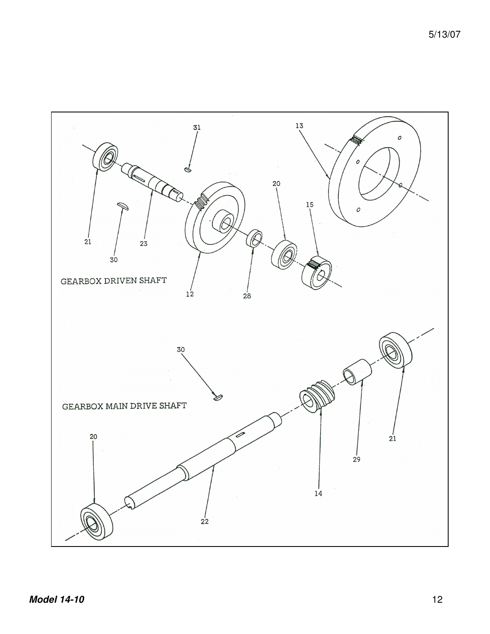